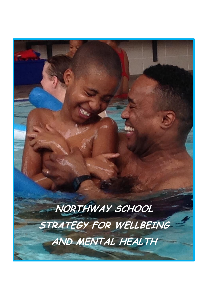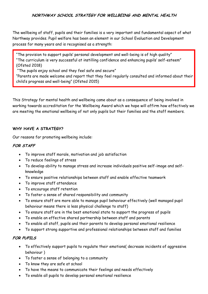# **NORTHWAY SCHOOL STRATEGY FOR WELLBEING AND MENTAL HEALTH**

The wellbeing of staff, pupils and their families is a very important and fundamental aspect of what Northway provides. Pupil welfare has been an element in our School Evaluation and Development process for many years and is recognised as a strength:

"The provision to support pupils' personal development and well-being is of high quality" "The curriculum is very successful at instilling confidence and enhancing pupils' self-esteem" (Ofsted 2018)

"The pupils enjoy school and they feel safe and secure"

"Parents are made welcome and report that they feel regularly consulted and informed about their child's progress and well-being" (Ofsted 2015)

This Strategy for mental health and wellbeing came about as a consequence of being involved in working towards accreditation for the Wellbeing Award which we hope will affirm how effectively we are meeting the emotional wellbeing of not only pupils but their families and the staff members.

### **WHY HAVE A STRATEGY?**

Our reasons for promoting wellbeing include:

### **FOR STAFF**

- To improve staff morale, motivation and job satisfaction
- To reduce feelings of stress
- To develop ability to manage stress and increase individuals positive self-image and selfknowledge
- To ensure positive relationships between staff and enable effective teamwork
- To improve staff attendance
- To encourage staff retention
- To foster a sense of shared responsibility and community
- To ensure staff are more able to manage pupil behaviour effectively (well managed pupil behaviour means there is less physical challenge to staff)
- To ensure staff are in the best emotional state to support the progress of pupils
- To enable an effective shared partnership between staff and parents
- To enable all staff, pupils and their parents to develop personal emotional resilience
- To support strong supportive and professional relationships between staff and families

#### **FOR PUPILS**

- To effectively support pupils to regulate their emotions( decrease incidents of aggressive behaviour )
- To foster a sense of belonging to a community
- To know they are safe at school
- To have the means to communicate their feelings and needs effectively
- To enable all pupils to develop personal emotional resilience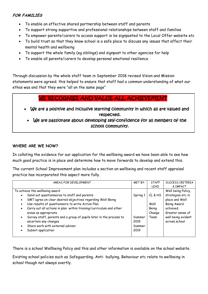# **FOR FAMILIES**

- To enable an effective shared partnership between staff and parents
- To support strong supportive and professional relationships between staff and families
- To empower parents/carers to access support ie be signposted to the Local Offer website etc
- To build trust so that they know school is a safe place to discuss any issues that affect their mental health and wellbeing
- To support the whole family (eg siblings) and signpost to other agencies for help
- To enable all parents/carers to develop personal emotional resilience

Through discussion by the whole staff team in September 2018 revised Vision and Mission statements were agreed; this helped to ensure that staff had a common understanding of what our ethos was and that they were "all on the same page"

# WE RECOGNISE AND VALUE ALL ACHIEVEMENT

- We are a positive and inclusive learning community in which all are valued and respected.
	- We are passionate about developing self-confidence for all members of the school community.

# **WHERE ARE WE NOW?**

In collating the evidence for our application for the wellbeing award we have been able to see how much good practice is in place and determine how to move forwards to develop and extend this.

The current School Improvement plan includes a section on wellbeing and recent staff appraisal practice has incorporated this aspect more fully.

| AREAS FOR DEVELOPMENT                                                                                                                                                                                                                                                                                                                                                                                                                                                                                                                        | <b>MET BY:</b>                               | <b>STAFF</b><br>LEAD                       | SUCCESS CRITERIA<br>& IMPACT                                                                                                                     |
|----------------------------------------------------------------------------------------------------------------------------------------------------------------------------------------------------------------------------------------------------------------------------------------------------------------------------------------------------------------------------------------------------------------------------------------------------------------------------------------------------------------------------------------------|----------------------------------------------|--------------------------------------------|--------------------------------------------------------------------------------------------------------------------------------------------------|
| To achieve the wellbeing award<br>Send out questionnaires to staff and parents<br>$\bullet$<br>SMT agree on clear desired objectives regarding Well-Being<br>$\bullet$<br>Use results of questionnaire to write Action Plan<br>$\bullet$<br>Carry out all actions in plan within training/curriculum and other<br>$\bullet$<br>areas as appropriate<br>Survey staff, parents and a group of pupils later in the process to<br>$\bullet$<br>ascertain any changes<br>Share work with external advisor<br>$\bullet$<br>Submit application<br>٠ | Spring 1<br>Summer<br>2019<br>Summer<br>2019 | CL & HS<br>Well<br>Being<br>Change<br>Team | Well being Policy,<br>strategies etc in<br>place and Well<br>Being Award<br>achieved.<br>Greater sense of<br>well being evident<br>across school |

There is a school Wellbeing Policy and this and other information is available on the school website.

Existing school policies such as Safeguarding. Anti- bullying, Behaviour etc relate to wellbeing in school though not always overtly.